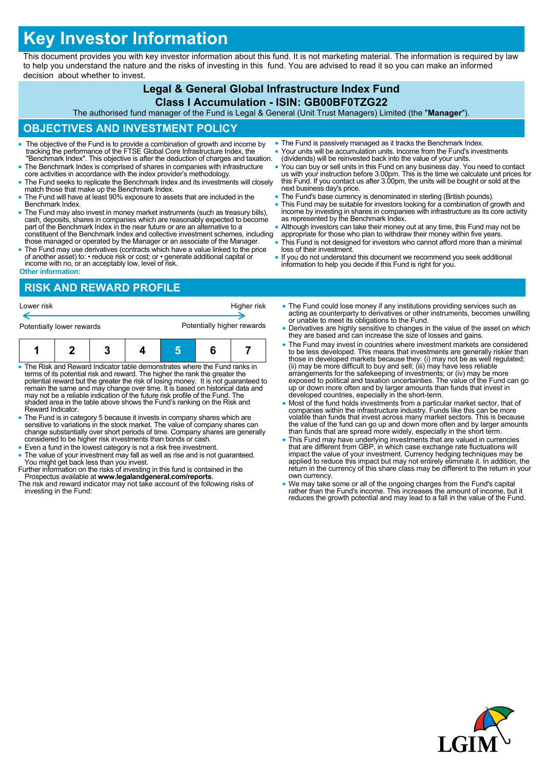# **Key Investor Information**

This document provides you with key investor information about this fund. It is not marketing material. The information is required by law to help you understand the nature and the risks of investing in this fund. You are advised to read it so you can make an informed decision about whether to invest.

## **Legal & General Global Infrastructure Index Fund**

## **Class I Accumulation - ISIN: GB00BF0TZG22**

The authorised fund manager of the Fund is Legal & General (Unit Trust Managers) Limited (the "**Manager**").

## **OBJECTIVES AND INVESTMENT POLICY**

- The objective of the Fund is to provide a combination of growth and income by tracking the performance of the FTSE Global Core Infrastructure Index, the "Benchmark Index". This objective is after the deduction of charges and taxation.
- The Benchmark Index is comprised of shares in companies with infrastructure core activities in accordance with the index provider's methodology.
- The Fund seeks to replicate the Benchmark Index and its investments will closely match those that make up the Benchmark Index.
- The Fund will have at least 90% exposure to assets that are included in the Benchmark Index.
- The Fund may also invest in money market instruments (such as treasury bills), cash, deposits, shares in companies which are reasonably expected to become part of the Benchmark Index in the near future or are an alternative to a constituent of the Benchmark Index and collective investment schemes, including those managed or operated by the Manager or an associate of the Manager.
- The Fund may use derivatives (contracts which have a value linked to the price of another asset) to: • reduce risk or cost; or • generate additional capital or income with no, or an acceptably low, level of risk.
- The Fund is passively managed as it tracks the Benchmark Index.
- Your units will be accumulation units. Income from the Fund's investments (dividends) will be reinvested back into the value of your units.
- You can buy or sell units in this Fund on any business day. You need to contact us with your instruction before 3.00pm. This is the time we calculate unit prices for this Fund. If you contact us after 3.00pm, the units will be bought or sold at the next business day's price.
- The Fund's base currency is denominated in sterling (British pounds).
- This Fund may be suitable for investors looking for a combination of growth and income by investing in shares in companies with infrastructure as its core activity as represented by the Benchmark Index.
- Although investors can take their money out at any time, this Fund may not be appropriate for those who plan to withdraw their money within five years.
- This Fund is not designed for investors who cannot afford more than a minimal loss of their investment.
- If you do not understand this document we recommend you seek additional information to help you decide if this Fund is right for you.

#### **Other information:**

## **RISK AND REWARD PROFILE**

| Lower risk                |  |  | Higher risk |                            |  |  |
|---------------------------|--|--|-------------|----------------------------|--|--|
| Potentially lower rewards |  |  |             | Potentially higher rewards |  |  |
| я                         |  |  |             |                            |  |  |

- The Risk and Reward Indicator table demonstrates where the Fund ranks in terms of its potential risk and reward. The higher the rank the greater the potential reward but the greater the risk of losing money. It is not guaranteed to remain the same and may change over time. It is based on historical data and may not be a reliable indication of the future risk profile of the Fund. The shaded area in the table above shows the Fund's ranking on the Risk and Reward Indicator.
- The Fund is in category 5 because it invests in company shares which are sensitive to variations in the stock market. The value of company shares can change substantially over short periods of time. Company shares are generally considered to be higher risk investments than bonds or cash.
- Even a fund in the lowest category is not a risk free investment. The value of your investment may fall as well as rise and is not guaranteed.
- You might get back less than you invest. Further information on the risks of investing in this fund is contained in the Prospectus available at **www.legalandgeneral.com/reports**.
- The risk and reward indicator may not take account of the following risks of investing in the Fund:
- e Fund could lose money if any institutions providing services such as ing as counterparty to derivatives or other instruments, becomes unwilling unable to meet its obligations to the Fund.
- rivatives are highly sensitive to changes in the value of the asset on which y are based and can increase the size of losses and gains.
- e Fund may invest in countries where investment markets are considered to be less developed. This means that investments are generally riskier than those in developed markets because they: (i) may not be as well regulated; (ii) may be more difficult to buy and sell; (iii) may have less reliable arrangements for the safekeeping of investments; or (iv) may be more exposed to political and taxation uncertainties. The value of the Fund can go up or down more often and by larger amounts than funds that invest in developed countries, especially in the short-term.
- Most of the fund holds investments from a particular market sector, that of companies within the infrastructure industry. Funds like this can be more volatile than funds that invest across many market sectors. This is because the value of the fund can go up and down more often and by larger amounts than funds that are spread more widely, especially in the short term.
- This Fund may have underlying investments that are valued in currencies that are different from GBP, in which case exchange rate fluctuations will impact the value of your investment. Currency hedging techniques may be applied to reduce this impact but may not entirely eliminate it. In addition, the return in the currency of this share class may be different to the return in your own currency.
- We may take some or all of the ongoing charges from the Fund's capital rather than the Fund's income. This increases the amount of income, but it reduces the growth potential and may lead to a fall in the value of the Fund.